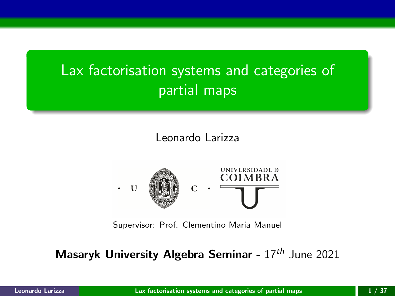# <span id="page-0-0"></span>Lax factorisation systems and categories of partial maps

Leonardo Larizza



Supervisor: Prof. Clementino Maria Manuel

Masaryk University Algebra Seminar -  $17<sup>th</sup>$  June 2021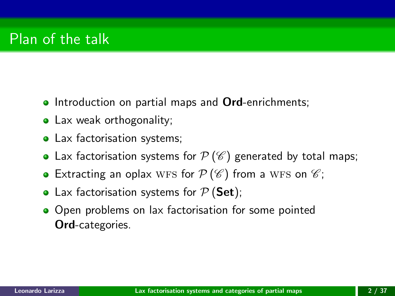- **Introduction on partial maps and Ord-enrichments;**
- Lax weak orthogonality;
- Lax factorisation systems;
- Lax factorisation systems for  $\mathcal{P}(\mathscr{C})$  generated by total maps;
- Extracting an oplax WFS for  $P(\mathscr{C})$  from a WFS on  $\mathscr{C}$ ;
- Lax factorisation systems for  $P$  (Set);
- Open problems on lax factorisation for some pointed Ord-categories.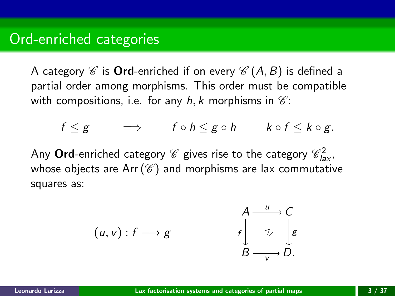A category  $\mathscr C$  is **Ord**-enriched if on every  $\mathscr C(A, B)$  is defined a partial order among morphisms. This order must be compatible with compositions, i.e. for any h, k morphisms in  $\mathscr{C}$ :

$$
f \leq g \qquad \Longrightarrow \qquad f \circ h \leq g \circ h \qquad k \circ f \leq k \circ g.
$$

Any  ${\sf Ord}$ -enriched category  ${\mathscr C}$  gives rise to the category  ${\mathscr C}^2_{las}$ , whose objects are Arr  $(\mathscr{C})$  and morphisms are lax commutative squares as:

$$
(u, v) : f \longrightarrow g \qquad \qquad f \downarrow \mathop\downarrow \limits_{B \longrightarrow V}^{A \longrightarrow C} \oint_{C} g
$$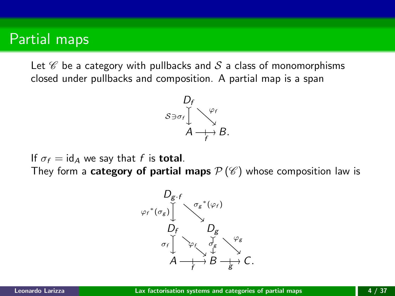### Partial maps

Let  $\mathscr C$  be a category with pullbacks and S a class of monomorphisms closed under pullbacks and composition. A partial map is a span



If  $\sigma_f = id_A$  we say that f is **total**.

They form a **category of partial maps**  $\mathcal{P}(\mathscr{C})$  whose composition law is

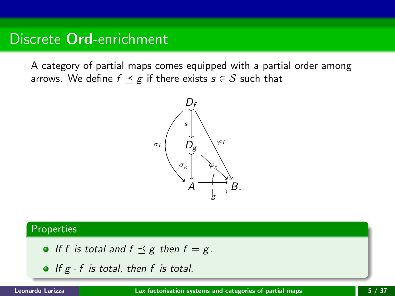## Discrete Ord-enrichment

A category of partial maps comes equipped with a partial order among arrows. We define  $f \preceq g$  if there exists  $s \in S$  such that



### Properties

- If f is total and  $f \preceq g$  then  $f = g$ .
- $\bullet$  If g  $\cdot$  f is total, then f is total.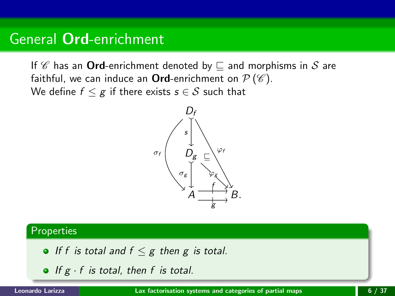## General Ord-enrichment

If  $\mathscr C$  has an **Ord**-enrichment denoted by  $\sqsubset$  and morphisms in  $\mathscr S$  are faithful, we can induce an Ord-enrichment on  $\mathcal{P}(\mathscr{C})$ . We define  $f \leq g$  if there exists  $s \in S$  such that



### Properties

- If f is total and  $f \leq g$  then g is total.
- If  $g \cdot f$  is total, then f is total.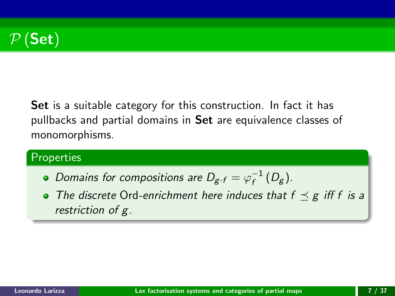

Set is a suitable category for this construction. In fact it has pullbacks and partial domains in Set are equivalence classes of monomorphisms.

### **Properties**

- Domains for compositions are  $D_{g \cdot f} = \varphi_f^{-1}$  $\frac{1}{f} (D_g)$ .
- The discrete Ord-enrichment here induces that  $f \preceq g$  iff f is a restriction of g.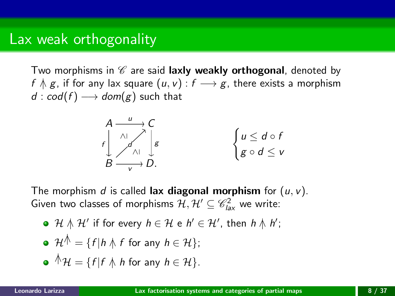Two morphisms in  $\mathscr C$  are said laxly weakly orthogonal, denoted by f  $\Lambda$  g, if for any lax square  $(u, v)$  :  $f \rightarrow g$ , there exists a morphism  $d : cod(f) \longrightarrow dom(g)$  such that



The morphism d is called lax diagonal morphism for  $(u, v)$ . Given two classes of morphisms  $\mathcal{H}, \mathcal{H}' \subseteq \mathscr{C}_{\text{las}}^2$  we write:

• 
$$
\mathcal{H} \wedge \mathcal{H}'
$$
 if for every  $h \in \mathcal{H}$  e  $h' \in \mathcal{H}'$ , then  $h \wedge h'$ ;

\n- $$
\mathcal{H}^{\wedge} = \{f | h \wedge f \text{ for any } h \in \mathcal{H}\};
$$
\n- $\wedge^{\wedge} \mathcal{H} = \{f | f \wedge h \text{ for any } h \in \mathcal{H}\}.$
\n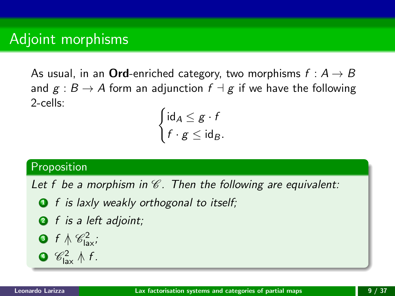## Adjoint morphisms

As usual, in an **Ord**-enriched category, two morphisms  $f : A \rightarrow B$ and  $g : B \to A$  form an adjunction  $f \dashv g$  if we have the following 2-cells:

$$
\begin{cases} \mathrm{id}_A \leq g \cdot f \\ f \cdot g \leq \mathrm{id}_B. \end{cases}
$$

### Proposition

Let f be a morphism in  $\mathscr C$ . Then the following are equivalent:

- $\bullet$  f is laxly weakly orthogonal to itself;
- **2** f is a left adjoint;
- **3** f  $\wedge \mathscr{C}_{\text{lav}}^2$ ;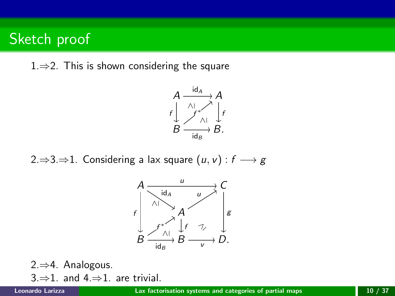## Sketch proof

1.⇒2. This is shown considering the square



2.⇒3.⇒1. Considering a lax square  $(u, v) : f \longrightarrow g$ 



2.⇒4. Analogous. 3. $\Rightarrow$ 1. and 4. $\Rightarrow$ 1. are trivial.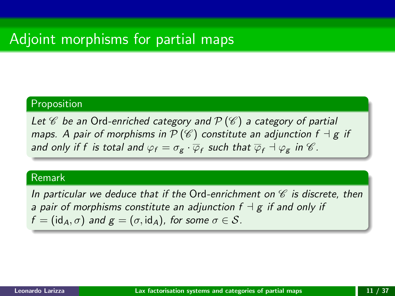## Adjoint morphisms for partial maps

### Proposition

Let  $\mathscr C$  be an Ord-enriched category and  $\mathcal P(\mathscr C)$  a category of partial maps. A pair of morphisms in  $\mathcal{P}(\mathscr{C})$  constitute an adjunction  $f \dashv g$  if and only if  $f$  is total and  $\varphi_f=\sigma_g\cdot\overline{\varphi}_f$  such that  $\overline{\varphi}_f\dashv\varphi_g$  in  $\mathscr{C}.$ 

#### Remark

In particular we deduce that if the Ord-enrichment on  $\mathscr C$  is discrete, then a pair of morphisms constitute an adjunction  $f \dashv g$  if and only if  $f = (id_A, \sigma)$  and  $g = (\sigma, id_A)$ , for some  $\sigma \in S$ .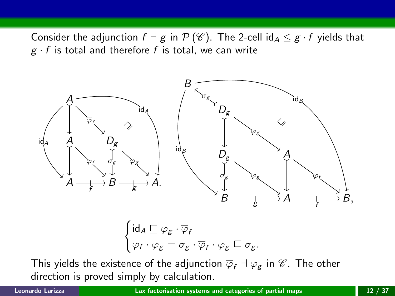Consider the adjunction  $f \dashv g$  in  $\mathcal{P}(\mathscr{C})$ . The 2-cell id $A \leq g \cdot f$  yields that  $g \cdot f$  is total and therefore f is total, we can write



$$
\begin{cases}\mathrm{id}_A \sqsubseteq \varphi_g \cdot \overline{\varphi}_f \\ \varphi_f \cdot \varphi_g = \sigma_g \cdot \overline{\varphi}_f \cdot \varphi_g \sqsubseteq \sigma_g. \end{cases}
$$

This yields the existence of the adjunction  $\overline{\varphi}_f \dashv \varphi_g$  in  $\mathscr{C}$ . The other direction is proved simply by calculation.

Leonardo Larizza [Lax factorisation systems and categories of partial maps](#page-0-0) 12 / 37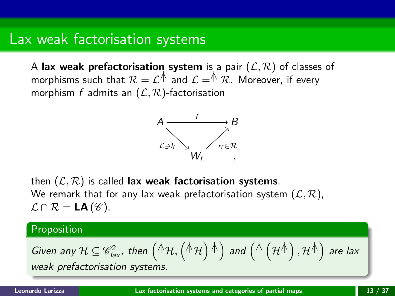## Lax weak factorisation systems

A lax weak prefactorisation system is a pair  $(\mathcal{L}, \mathcal{R})$  of classes of morphisms such that  $\mathcal{R}=\mathcal{L}^{\bigwedge}$  and  $\mathcal{L}=\stackrel{\wedge}{\mathcal{R}}$  . Moreover, if every morphism f admits an  $(\mathcal{L}, \mathcal{R})$ -factorisation



then  $(\mathcal{L}, \mathcal{R})$  is called lax weak factorisation systems. We remark that for any lax weak prefactorisation system  $(\mathcal{L}, \mathcal{R})$ ,  $\mathcal{L} \cap \mathcal{R} = LA(\mathcal{C}).$ 

#### Proposition

Given any 
$$
\mathcal{H} \subseteq \mathcal{C}_{\text{lax}}^2
$$
, then  $(\mathcal{H}, (\mathcal{H})^{\mathcal{H}})$  and  $(\mathcal{H}(\mathcal{H}^{\mathcal{H}}), \mathcal{H}^{\mathcal{H}})$  are lax weak prefactorisation systems.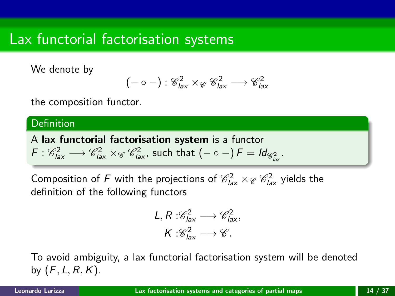## Lax functorial factorisation systems

We denote by

$$
(-\circ-): \mathscr{C}_{\text{lax}}^2 \times_{\mathscr{C}} \mathscr{C}_{\text{lax}}^2 \longrightarrow \mathscr{C}_{\text{lax}}^2
$$

the composition functor.

#### **Definition**

A lax functorial factorisation system is a functor  $F: \mathscr{C}_{\textit{las}}^2 \longrightarrow \mathscr{C}_{\textit{las}}^2 \times_{\mathscr{C}} \mathscr{C}_{\textit{las}}^2$ , such that  $(- \circ -) \, F = \textit{Id}_{\mathscr{C}_{\textit{las}}^2}$ .

Composition of F with the projections of  $\mathscr{C}_{\textit{las}}^2\times_{\mathscr{C}}\mathscr{C}_{\textit{las}}^2$  yields the definition of the following functors

$$
L, R: \mathcal{C}_{\text{law}}^2 \longrightarrow \mathcal{C}_{\text{law}}^2,
$$

$$
K: \mathcal{C}_{\text{law}}^2 \longrightarrow \mathcal{C}.
$$

To avoid ambiguity, a lax functorial factorisation system will be denoted by  $(F, L, R, K)$ .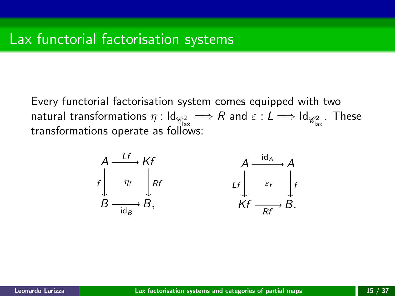Every functorial factorisation system comes equipped with two natural transformations  $\eta: \mathsf{Id}_{\mathscr{C}^2_{\text{las}}} \Longrightarrow R$  and  $\varepsilon: L \Longrightarrow \mathsf{Id}_{\mathscr{C}^2_{\text{las}}}$ . These transformations operate as follows:

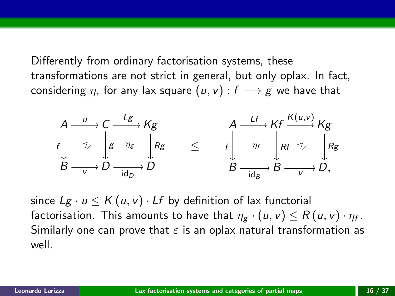Differently from ordinary factorisation systems, these transformations are not strict in general, but only oplax. In fact, considering  $\eta$ , for any lax square  $(u, v) : f \longrightarrow g$  we have that



since  $Lg \cdot u \leq K(u, v) \cdot Lf$  by definition of lax functorial factorisation. This amounts to have that  $\eta_{\mathcal{g}}\cdot(u,v)\leq R\left(u,v\right)\cdot\eta_{f}.$ Similarly one can prove that  $\varepsilon$  is an oplax natural transformation as well.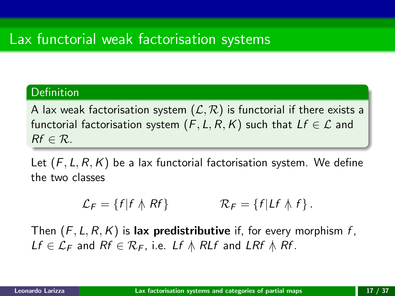# Lax functorial weak factorisation systems

### Definition

A lax weak factorisation system  $(\mathcal{L}, \mathcal{R})$  is functorial if there exists a functorial factorisation system  $(F, L, R, K)$  such that  $Lf \in \mathcal{L}$  and  $Rf \in \mathcal{R}$ .

Let  $(F, L, R, K)$  be a lax functorial factorisation system. We define the two classes

$$
\mathcal{L}_F = \{f | f \wedge Rf\} \qquad \mathcal{R}_F = \{f | Lf \wedge f\}.
$$

Then  $(F, L, R, K)$  is lax predistributive if, for every morphism f,  $Lf \in \mathcal{L}_F$  and  $Rf \in \mathcal{R}_F$ , i.e. Lf  $\wedge$  RLf and LRf  $\wedge$  Rf.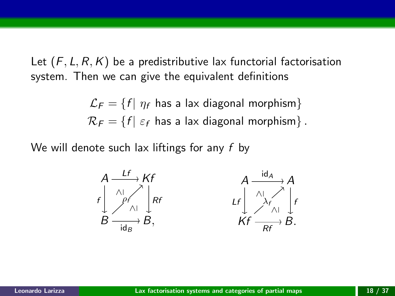Let  $(F, L, R, K)$  be a predistributive lax functorial factorisation system. Then we can give the equivalent definitions

> $\mathcal{L}_F = \{f | \eta_f$  has a lax diagonal morphism}  $\mathcal{R}_F = \{f | \varepsilon_f$  has a lax diagonal morphism}.

We will denote such lax liftings for any  $f$  by

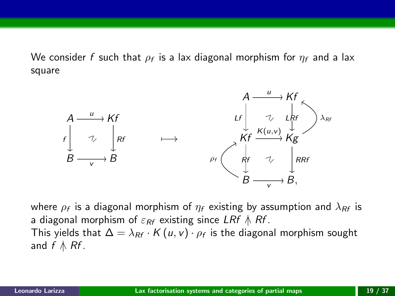We consider  $f$  such that  $\rho_f$  is a lax diagonal morphism for  $\eta_f$  and a lax square



where  $\rho_f$  is a diagonal morphism of  $\eta_f$  existing by assumption and  $\lambda_{Rf}$  is a diagonal morphism of  $\varepsilon_{RF}$  existing since LRf  $\wedge$  Rf. This yields that  $\Delta = \lambda_{\mathit{RF}} \cdot \mathit{K}\left( \mathit{u}, \mathit{v} \right) \cdot \rho_{\mathit{f}}$  is the diagonal morphism sought and  $f \wedge Rf$ .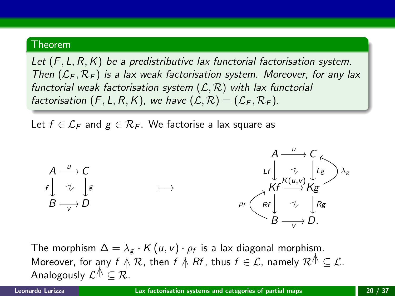#### Theorem

Let  $(F, L, R, K)$  be a predistributive lax functorial factorisation system. Then  $(\mathcal{L}_F, \mathcal{R}_F)$  is a lax weak factorisation system. Moreover, for any lax functorial weak factorisation system  $(\mathcal{L}, \mathcal{R})$  with lax functorial factorisation  $(F, L, R, K)$ , we have  $(L, R) = (L_F, R_F)$ .

Let  $f \in \mathcal{L}_F$  and  $g \in \mathcal{R}_F$ . We factorise a lax square as



The morphism  $\Delta = \lambda_g \cdot K(u, v) \cdot \rho_f$  is a lax diagonal morphism. Moreover, for any  $f \mathrel{\wedge} \mathcal{R}$ , then  $f \mathrel{\wedge} Rf$ , thus  $f \in \mathcal{L}$ , namely  $\mathcal{R}^{\mathcal{A}} \subset \mathcal{L}$ . Analogously  $\mathcal{L}^{\mathcal{A}} \subseteq \mathcal{R}$ .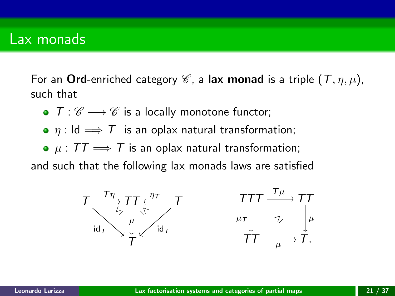### Lax monads

For an Ord-enriched category  $\mathscr C$ , a lax monad is a triple  $(T, \eta, \mu)$ , such that

- $T: \mathscr{C} \longrightarrow \mathscr{C}$  is a locally monotone functor;
- $\eta$  : Id  $\implies$  T is an oplax natural transformation;
- $\mu$  :  $TT \implies T$  is an oplax natural transformation;

and such that the following lax monads laws are satisfied

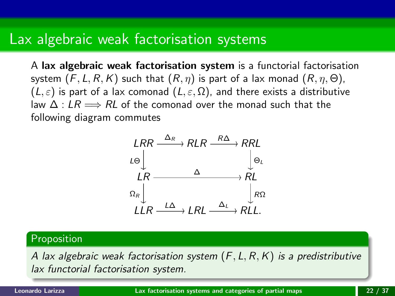## Lax algebraic weak factorisation systems

A lax algebraic weak factorisation system is a functorial factorisation system  $(F, L, R, K)$  such that  $(R, \eta)$  is part of a lax monad  $(R, \eta, \Theta)$ ,  $(L, \varepsilon)$  is part of a lax comonad  $(L, \varepsilon, \Omega)$ , and there exists a distributive law  $\Delta$  : LR  $\Longrightarrow$  RL of the comonad over the monad such that the following diagram commutes



#### Proposition

A lax algebraic weak factorisation system  $(F, L, R, K)$  is a predistributive lax functorial factorisation system.

Leonardo Larizza [Lax factorisation systems and categories of partial maps](#page-0-0) 22 / 37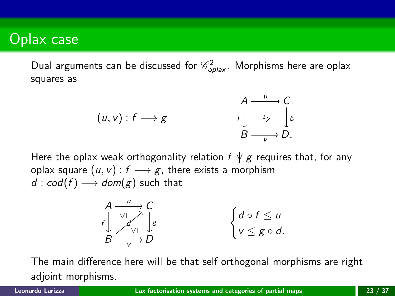## Oplax case

Dual arguments can be discussed for  $\mathscr{C}^2_{\textit{oplas}'}.$  Morphisms here are oplax squares as

$$
(u, v) : f \longrightarrow g \qquad \qquad f \downarrow \qquad \downarrow \qquad f \downarrow
$$
\n
$$
B \xrightarrow{u} C
$$
\n
$$
B \xrightarrow{v} D.
$$

Here the oplax weak orthogonality relation  $f \nmid g$  requires that, for any oplax square  $(u, v) : f \longrightarrow g$ , there exists a morphism  $d : cod(f) \longrightarrow dom(g)$  such that

$$
\begin{array}{ccc}\nA & u \\
f & \searrow f \\
B & \searrow f \\
\hline\n\end{array}\n\qquad \qquad \begin{cases}\nA & \searrow f \\
\downarrow g \\
B & \searrow f \\
\hline\n\end{cases}\n\qquad \qquad \begin{cases}\nd \circ f \leq u \\
v \leq g \circ d.\n\end{cases}
$$

The main difference here will be that self orthogonal morphisms are right adjoint morphisms.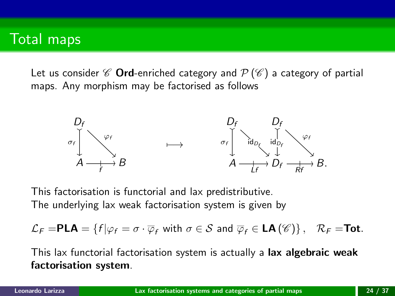## Total maps

Let us consider  $\mathscr C$  Ord-enriched category and  $\mathcal P(\mathscr C)$  a category of partial maps. Any morphism may be factorised as follows



This factorisation is functorial and lax predistributive. The underlying lax weak factorisation system is given by

$$
\mathcal{L}_{F} = \mathbf{PLA} = \{ f | \varphi_{f} = \sigma \cdot \overline{\varphi}_{f} \text{ with } \sigma \in \mathcal{S} \text{ and } \overline{\varphi}_{f} \in \mathbf{LA}(\mathscr{C}) \}, \quad \mathcal{R}_{F} = \mathbf{Tot}.
$$

This lax functorial factorisation system is actually a lax algebraic weak factorisation system.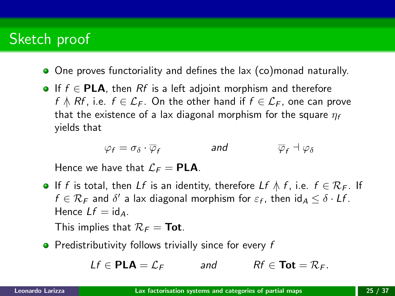# Sketch proof

- One proves functoriality and defines the lax (co)monad naturally.
- **•** If  $f \in PLA$ , then Rf is a left adjoint morphism and therefore f  $\wedge$  Rf, i.e.  $f \in \mathcal{L}_F$ . On the other hand if  $f \in \mathcal{L}_F$ , one can prove that the existence of a lax diagonal morphism for the square  $\eta_f$ yields that

$$
\varphi_f = \sigma_{\delta} \cdot \overline{\varphi}_f \qquad \qquad \text{and} \qquad \qquad \overline{\varphi}_f \dashv \varphi_{\delta}
$$

Hence we have that  $\mathcal{L}_F = \mathbf{PLA}$ .

**•** If f is total, then Lf is an identity, therefore Lf  $\wedge$  f, i.e.  $f \in \mathcal{R}_F$ . If  $f \in \mathcal{R}_F$  and  $\delta'$  a lax diagonal morphism for  $\varepsilon_f$ , then  $\mathsf{id}_A \leq \delta \cdot Lf$ . Hence  $Lf = id_A$ .

This implies that  $\mathcal{R}_F = \textbf{Tot}$ .

 $\bullet$  Predistributivity follows trivially since for every f

 $Lf \in \mathbf{PLA} = \mathcal{L}_F$  and  $Rf \in \mathbf{Tot} = \mathcal{R}_F$ .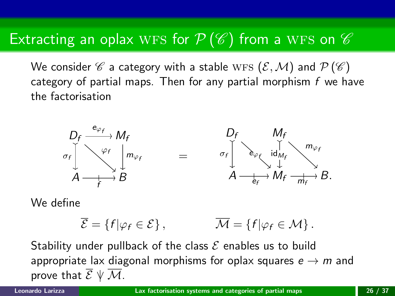## Extracting an oplax WFS for  $P(\mathscr{C})$  from a WFS on  $\mathscr{C}$

We consider  $\mathscr C$  a category with a stable WFS  $(\mathcal E,\mathcal M)$  and  $\mathcal P(\mathscr C)$ category of partial maps. Then for any partial morphism  $f$  we have the factorisation



We define

$$
\overline{\mathcal{E}} = \{f|\varphi_f \in \mathcal{E}\}, \qquad \overline{\mathcal{M}} = \{f|\varphi_f \in \mathcal{M}\}.
$$

Stability under pullback of the class  $\mathcal E$  enables us to build appropriate lax diagonal morphisms for oplax squares  $e \rightarrow m$  and prove that  $\overline{\mathcal{E}} \ \forall \ \overline{\mathcal{M}}$ .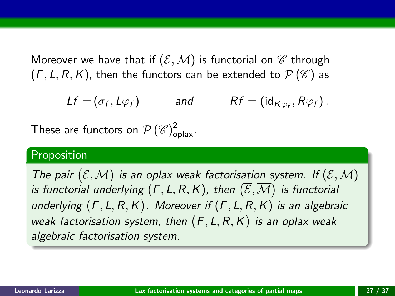Moreover we have that if  $(\mathcal{E}, \mathcal{M})$  is functorial on  $\mathcal C$  through  $(F, L, R, K)$ , then the functors can be extended to  $\mathcal{P}(\mathscr{C})$  as

$$
\overline{L}f = (\sigma_f, L\varphi_f) \quad \text{and} \quad \overline{R}f = (\text{id}_{K\varphi_f}, R\varphi_f).
$$

These are functors on  $\mathcal{P}\left(\mathscr{C}\right)^2_{\mathrm{oplax}}$ .

### Proposition

The pair  $(\overline{\mathcal{E}}, \overline{\mathcal{M}})$  is an oplax weak factorisation system. If  $(\mathcal{E}, \mathcal{M})$ is functorial underlying  $(\mathsf{F}, \mathsf{L}, \mathsf{R}, \mathsf{K})$ , then  $(\overline{\mathcal{E}}, \overline{\mathcal{M}})$  is functorial underlying  $(\overline{F}, \overline{L}, \overline{R}, \overline{K})$ . Moreover if  $(F, L, R, K)$  is an algebraic weak factorisation system, then  $(\overline{F},\overline{L},\overline{R},\overline{K})$  is an oplax weak algebraic factorisation system.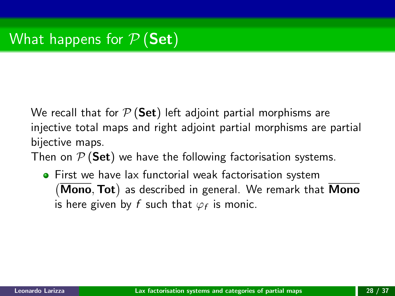# What happens for  $P$  (Set)

We recall that for  $P$  (Set) left adjoint partial morphisms are injective total maps and right adjoint partial morphisms are partial bijective maps.

Then on  $P$  (Set) we have the following factorisation systems.

**•** First we have lax functorial weak factorisation system  $(\overline{Mono}, \overline{Tot})$  as described in general. We remark that  $\overline{Mono}$ is here given by  $f$  such that  $\varphi_f$  is monic.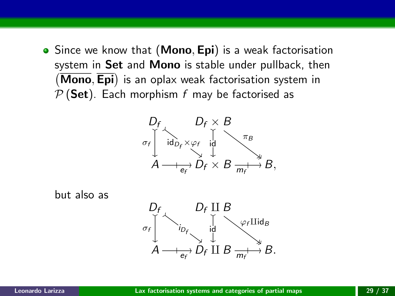• Since we know that (Mono, Epi) is a weak factorisation system in Set and Mono is stable under pullback, then (Mono, Epi) is an oplax weak factorisation system in  $P$  (Set). Each morphism f may be factorised as



but also as

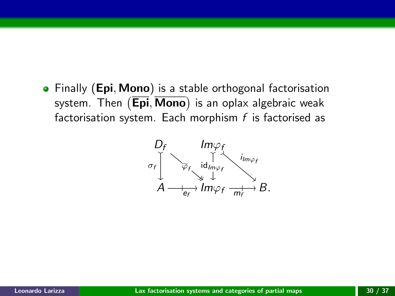• Finally (Epi, Mono) is a stable orthogonal factorisation system. Then (**Epi**, **Mono**) is an oplax algebraic weak factorisation system. Each morphism  $f$  is factorised as

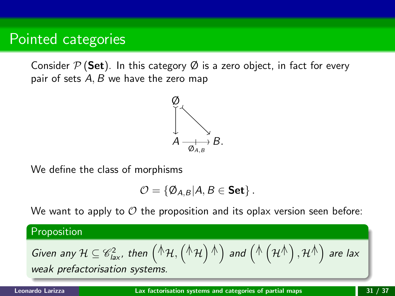### Pointed categories

Consider  $P$  (Set). In this category  $\emptyset$  is a zero object, in fact for every pair of sets  $A, B$  we have the zero map



We define the class of morphisms

$$
\mathcal{O}=\{\emptyset_{A,B}|A,B\in \mathbf{Set}\}.
$$

We want to apply to  $\mathcal O$  the proposition and its oplax version seen before:

Proposition

Given any 
$$
\mathcal{H} \subseteq \mathcal{C}_{lax}^2
$$
, then  $(\mathcal{H}, (\mathcal{H}, \mathcal{H})^{\dagger})$  and  $(\mathcal{H}, (\mathcal{H}^{\dagger}), \mathcal{H}^{\dagger})$  are lax  
weak differentiation, extension

weak prefactorisation systems.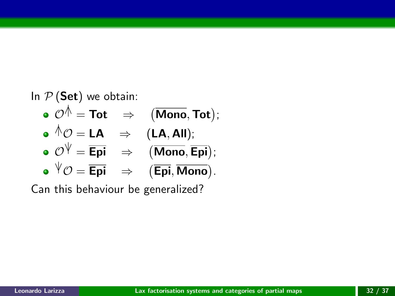### In  $P$  (Set) we obtain:

\n- $$
\mathcal{O}^{\mathcal{A}} = \text{Tot} \Rightarrow (\text{Mono}, \text{Tot});
$$
\n- $\mathcal{O}^{\mathcal{A}} \mathcal{O} = \text{LA} \Rightarrow (\text{LA}, \text{All});$
\n- $\mathcal{O}^{\mathcal{V}} = \overline{\text{Epi}} \Rightarrow (\text{Mono}, \overline{\text{Epi}});$
\n- $\mathcal{O}^{\mathcal{V}} = \overline{\text{Epi}} \Rightarrow (\overline{\text{Mono}}, \overline{\text{Epi}});$
\n

$$
\bullet \ {}^{\psi}\mathcal{O} = \overline{\text{Epi}} \quad \Rightarrow \quad (\overline{\text{Epi}}, \overline{\text{Mono}}).
$$

Can this behaviour be generalized?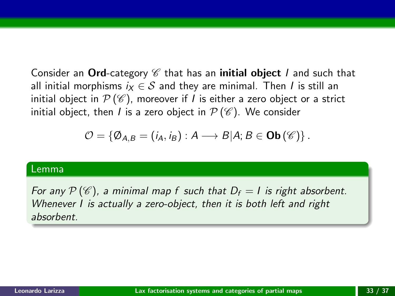Consider an Ord-category  $\mathscr C$  that has an initial object *I* and such that all initial morphisms  $i_X \in S$  and they are minimal. Then I is still an initial object in  $\mathcal{P}(\mathscr{C})$ , moreover if *l* is either a zero object or a strict initial object, then *I* is a zero object in  $\mathcal{P}(\mathscr{C})$ . We consider

$$
\mathcal{O} = \{ \emptyset_{A,B} = (i_A, i_B) : A \longrightarrow B | A; B \in \mathbf{Ob}(\mathscr{C}) \}.
$$

#### Lemma

For any  $P(\mathscr{C})$ , a minimal map f such that  $D_f = I$  is right absorbent. Whenever I is actually a zero-object, then it is both left and right absorbent.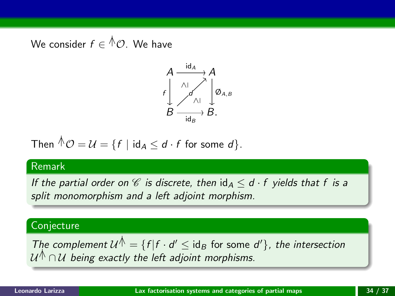We consider  $f\in{}^{\mathbb A}\mathcal O.$  We have



Then 
$$
\triangle \mathcal{O} = \mathcal{U} = \{f \mid \text{id}_A \leq d \cdot f \text{ for some } d\}.
$$

#### Remark

If the partial order on  $\mathscr C$  is discrete, then  $\mathrm{id}_A \leq d \cdot f$  yields that f is a split monomorphism and a left adjoint morphism.

### **Conjecture**

The complement  $\mathcal{U}^{\dagger} = \{f | f \cdot d' \leq id_B \text{ for some } d'\},\$  the intersection  $\mathcal{U}^{\hat{\wedge}}\cap\mathcal{U}$  being exactly the left adjoint morphisms.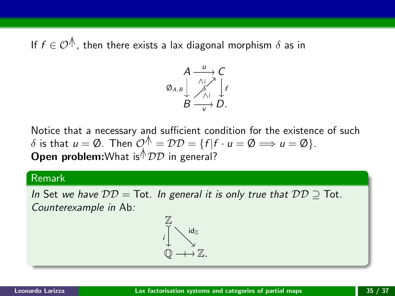If  $f \in \mathcal{O}^{\mathcal{A}}$ , then there exists a lax diagonal morphism  $\delta$  as in



Notice that a necessary and sufficient condition for the existence of such  $\delta$  is that  $u = \emptyset$ . Then  $\mathcal{O}^{\mathcal{N}} = \mathcal{D} \mathcal{D} = \{f | f \cdot u = \emptyset \implies u = \emptyset\}.$ **Open problem:**What is<sup> $\wedge$ </sup>*DD* in general?

#### Remark

In Set we have  $DD = \text{Tot}$ . In general it is only true that  $DD \supseteq \text{Tot}$ . Counterexample in Ab:

$$
\begin{array}{ccc}\n\mathbb{Z} & & \mathrm{id}_{\mathbb{Z}} \\
\downarrow & & \searrow \\
\mathbb{Q} & \longrightarrow & \mathbb{Z}.\n\end{array}
$$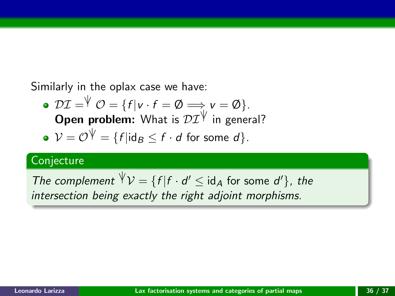Similarly in the oplax case we have:

• 
$$
\mathcal{DI} = \{f | v \cdot f = \emptyset \Longrightarrow v = \emptyset\}
$$
.  
Open problem: What is  $\mathcal{DI}^{\forall}$  in general?

• 
$$
V = \mathcal{O}^{\psi} = \{f | \mathrm{id}_B \leq f \cdot d \text{ for some } d\}.
$$

### Conjecture

The complement 
$$
\forall \mathcal{V} = \{f | f \cdot d' \leq id_A \text{ for some } d'\}
$$
, the intersection being exactly the right adjoint morphisms.